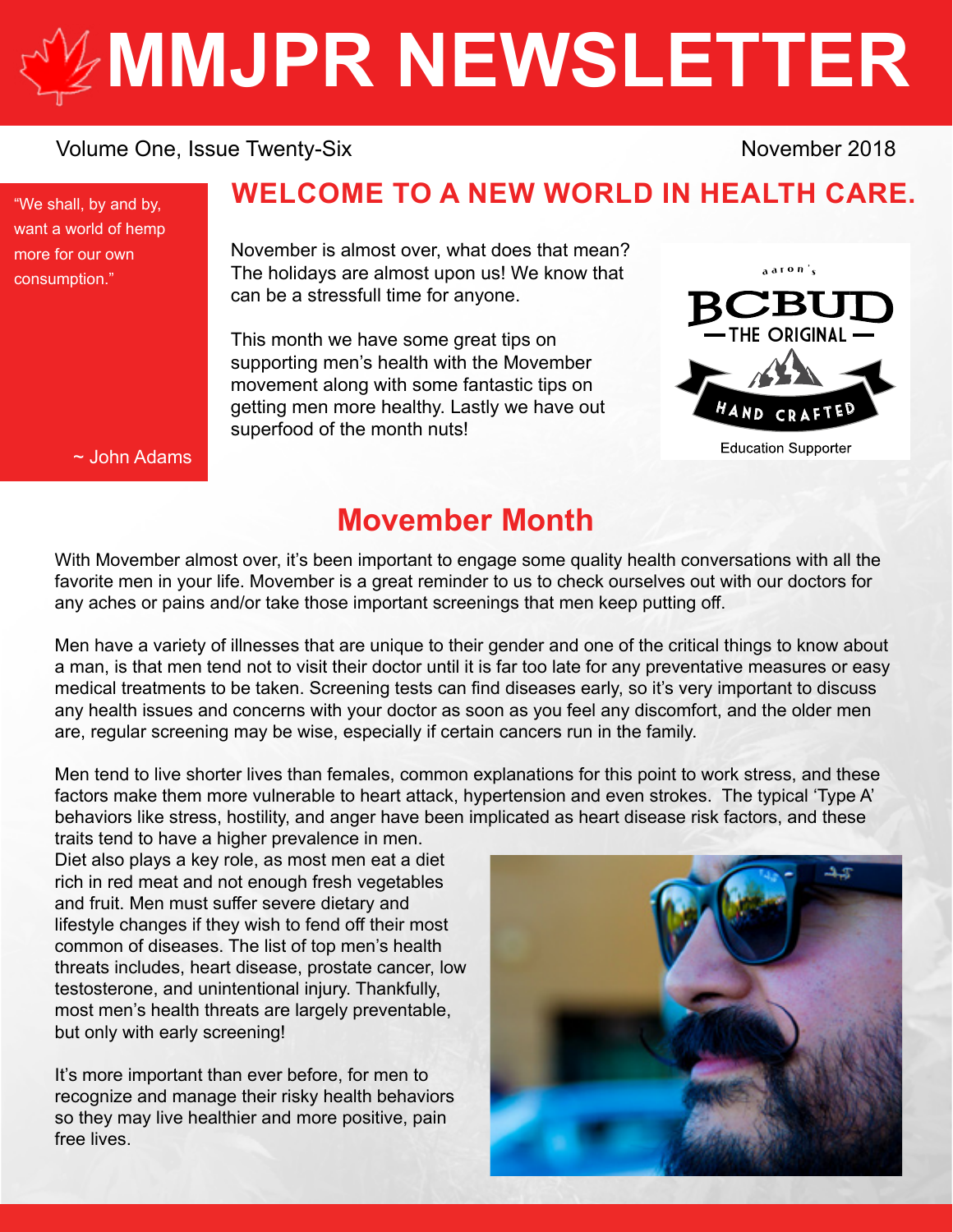# **[MMJPR NEWSLETTER](http://mmjpr.ca)**

#### Volume One, Issue Twenty-Six November 2018

"We shall, by and by, want a world of hemp more for our own consumption."

## **WELCOME TO A NEW WORLD IN HEALTH CARE.**

November is almost over, what does that mean? The holidays are almost upon us! We know that can be a stressfull time for anyone.

This month we have some great tips on supporting men's health with the Movember movement along with some fantastic tips on getting men more healthy. Lastly we have out superfood of the month nuts!



~ John Adams

## **Movember Month**

With Movember almost over, it's been important to engage some quality health conversations with all the favorite men in your life. Movember is a great reminder to us to check ourselves out with our doctors for any aches or pains and/or take those important screenings that men keep putting off.

Men have a variety of illnesses that are unique to their gender and one of the critical things to know about a man, is that men tend not to visit their doctor until it is far too late for any preventative measures or easy medical treatments to be taken. Screening tests can find diseases early, so it's very important to discuss any health issues and concerns with your doctor as soon as you feel any discomfort, and the older men are, regular screening may be wise, especially if certain cancers run in the family.

Men tend to live shorter lives than females, common explanations for this point to work stress, and these factors make them more vulnerable to heart attack, hypertension and even strokes. The typical 'Type A' behaviors like stress, hostility, and anger have been implicated as heart disease risk factors, and these

traits tend to have a higher prevalence in men. Diet also plays a key role, as most men eat a diet rich in red meat and not enough fresh vegetables and fruit. Men must suffer severe dietary and lifestyle changes if they wish to fend off their most common of diseases. The list of top men's health threats includes, heart disease, prostate cancer, low testosterone, and unintentional injury. Thankfully, most men's health threats are largely preventable, but only with early screening!

It's more important than ever before, for men to recognize and manage their risky health behaviors so they may live healthier and more positive, pain free lives.

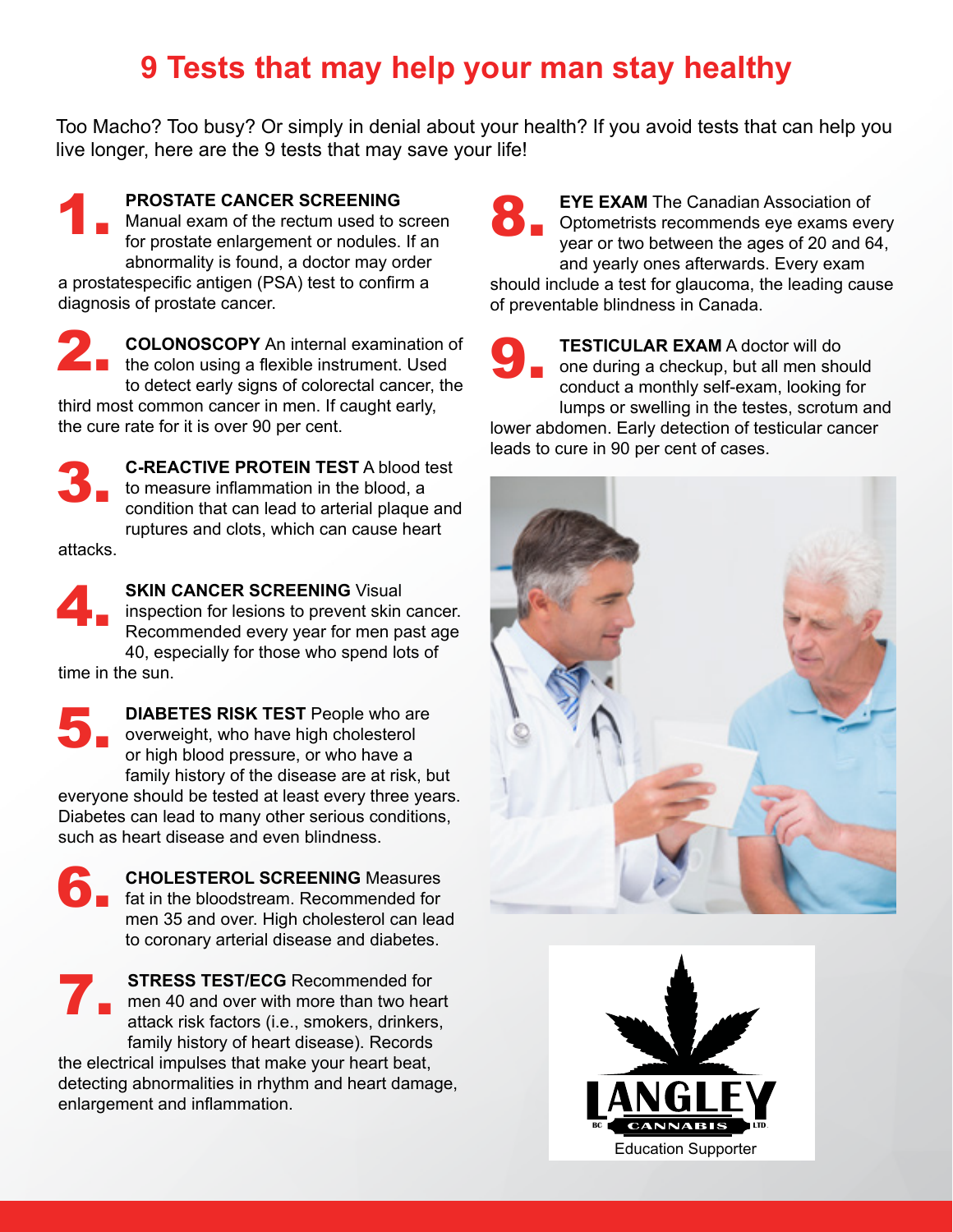# **9 Tests that may help your man stay healthy**

Too Macho? Too busy? Or simply in denial about your health? If you avoid tests that can help you live longer, here are the 9 tests that may save your life!

**PROSTATE CANCER SCREENING**  Manual exam of the rectum used to screen for prostate enlargement or nodules. If an abnormality is found, a doctor may order a prostatespecific antigen (PSA) test to confirm a diagnosis of prostate cancer. 1.

**COLONOSCOPY** An internal examination of the colon using a flexible instrument. Used **2. COLONOSCOPY** An internal examination of the colon using a flexible instrument. Used to detect early signs of colorectal cancer, the third most common cancer in men. If caught early, the cure rate for it is over 90 per cent.

**C-REACTIVE PROTEIN TEST** A blood test to measure inflammation in the blood, a condition that can lead to arterial plaque and ruptures and clots, which can cause heart 3.

attacks.

**SKIN CANCER SCREENING Visual** inspection for lesions to prevent skin cancer. Recommended every year for men past age 40, especially for those who spend lots of 4.

time in the sun.

**DIABETES RISK TEST** People who are overweight, who have high cholesterol or high blood pressure, or who have a family history of the disease are at risk, but everyone should be tested at least every three years. Diabetes can lead to many other serious conditions, such as heart disease and even blindness. 5.

**CHOLESTEROL SCREENING** Measures fat in the bloodstream. Recommended for men 35 and over. High cholesterol can lead to coronary arterial disease and diabetes. 6.

**STRESS TEST/ECG** Recommended for men 40 and over with more than two heart attack risk factors (i.e., smokers, drinkers, family history of heart disease). Records 7.

the electrical impulses that make your heart beat, detecting abnormalities in rhythm and heart damage, enlargement and inflammation.

**EYE EXAM** The Canadian Association of Optometrists recommends eye exams every year or two between the ages of 20 and 64, and yearly ones afterwards. Every exam should include a test for glaucoma, the leading cause of preventable blindness in Canada. 8.

> **TESTICULAR EXAM** A doctor will do one during a checkup, but all men should conduct a monthly self-exam, looking for lumps or swelling in the testes, scrotum and

lower abdomen. Early detection of testicular cancer leads to cure in 90 per cent of cases.